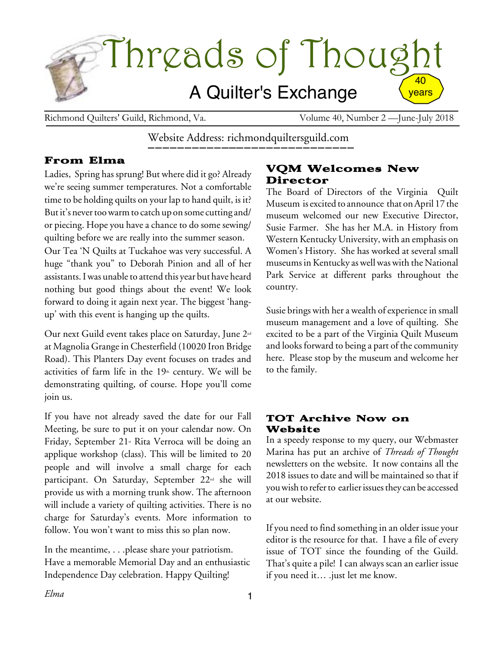

Richmond Quilters' Guild, Richmond, Va. Volume 40, Number 2 — June-July 2018

Website Address: richmondquiltersguild.com

### From Elma

Ladies, Spring has sprung! But where did it go? Already we're seeing summer temperatures. Not a comfortable time to be holding quilts on your lap to hand quilt, is it? But it's never too warm to catch up on some cutting and/ or piecing. Hope you have a chance to do some sewing/ quilting before we are really into the summer season. Our Tea 'N Quilts at Tuckahoe was very successful. A huge "thank you" to Deborah Pinion and all of her assistants. I was unable to attend this year but have heard nothing but good things about the event! We look forward to doing it again next year. The biggest 'hangup' with this event is hanging up the quilts.

Our next Guild event takes place on Saturday, June 2nd at Magnolia Grange in Chesterfield (10020 Iron Bridge Road). This Planters Day event focuses on trades and activities of farm life in the  $19<sup>th</sup>$  century. We will be demonstrating quilting, of course. Hope you'll come join us.

If you have not already saved the date for our Fall Meeting, be sure to put it on your calendar now. On Friday, September  $21$ <sup>«</sup> Rita Verroca will be doing an applique workshop (class). This will be limited to 20 people and will involve a small charge for each participant. On Saturday, September 22<sup>nd</sup> she will provide us with a morning trunk show. The afternoon will include a variety of quilting activities. There is no charge for Saturday's events. More information to follow. You won't want to miss this so plan now.

In the meantime, . . .please share your patriotism. Have a memorable Memorial Day and an enthusiastic Independence Day celebration. Happy Quilting!

### VQM Welcomes New Director

The Board of Directors of the Virginia Quilt Museum isexcited to announce that onApril 17 the museum welcomed our new Executive Director, Susie Farmer. She has her M.A. in History from Western Kentucky University, with an emphasis on Women's History. She has worked at several small museums in Kentucky as well was with the National Park Service at different parks throughout the country.

Susie brings with her a wealth of experience in small museum management and a love of quilting. She excited to be a part of the Virginia Quilt Museum and looks forward to being a part of the community here. Please stop by the museum and welcome her to the family.

### TOT Archive Now on Website

In a speedy response to my query, our Webmaster Marina has put an archive of *Threads of Thought* newsletters on the website. It now contains all the 2018 issues to date and will be maintained so that if you wish to refer to earlier issues they can be accessed at our website.

If you need to find something in an older issue your editor is the resource for that. I have a file of every issue of TOT since the founding of the Guild. That's quite a pile! I can always scan an earlier issue if you need it… .just let me know.

*Elma*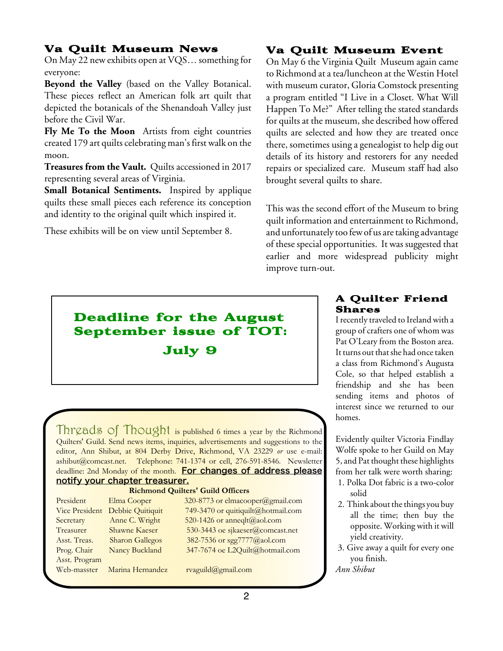### Va Quilt Museum News

On May 22 new exhibits open at VQS… something for everyone:

**Beyond the Valley** (based on the Valley Botanical. These pieces reflect an American folk art quilt that depicted the botanicals of the Shenandoah Valley just before the Civil War.

**Fly Me To the Moon** Artists from eight countries created 179 art quilts celebrating man's first walk on the moon.

**Treasures from the Vault.** Quilts accessioned in 2017 representing several areas of Virginia.

**Small Botanical Sentiments.** Inspired by applique quilts these small pieces each reference its conception and identity to the original quilt which inspired it.

These exhibits will be on view until September 8.

### Va Quilt Museum Event

On May 6 the Virginia Quilt Museum again came to Richmond at a tea/luncheon at the Westin Hotel with museum curator, Gloria Comstock presenting a program entitled "I Live in a Closet. What Will Happen To Me?" After telling the stated standards for quilts at the museum, she described how offered quilts are selected and how they are treated once there, sometimes using a genealogist to help dig out details of its history and restorers for any needed repairs or specialized care. Museum staff had also brought several quilts to share.

This was the second effort of the Museum to bring quilt information and entertainment to Richmond, and unfortunately too few of us are taking advantage of these special opportunities. It was suggested that earlier and more widespread publicity might improve turn-out.

# Deadline for the August September issue of TOT: July 9

Threads of Thought is published 6 times a year by the Richmond Quilters' Guild. Send news items, inquiries, advertisements and suggestions to the editor, Ann Shibut, at 804 Derby Drive, Richmond, VA 23229 *or* use e-mail: ashibut@comcast.net. Telephone: 741-1374 or cell, 276-591-8546. Newsletter deadline: 2nd Monday of the month. For changes of address please notify your chapter treasurer.

### **Richmond Quilters' Guild Officers**

| President      | Elma Cooper            | 3 |
|----------------|------------------------|---|
| Vice President | Debbie Quitiquit       |   |
| Secretary      | Anne C. Wright         | 5 |
| Treasurer      | <b>Shawne Kaeser</b>   | ļ |
| Asst. Treas.   | <b>Sharon Gallegos</b> |   |
| Prog. Chair    | Nancy Buckland         |   |
| Asst. Program  |                        |   |
| Web-masster    | Marina Hernandez       |   |

 $820-8773$  or elmacooper  $(a)$ gmail.com  $49-3470$  or quitiquilt@hotmail.com  $620-1426$  or anneqlt  $(a)$  aol.com 530-3443 oe sjkaeser@comcast.net  $382 - 7536$  or sgg $7777@a$ aol.com

> 347-7674 oe L2Quilt@hotmail.com vaguild@gmail.com

### A Quilter Friend Shares

Irecently traveled to Ireland with a group of crafters one of whom was Pat O'Leary from the Boston area. It turns out that she had once taken a class from Richmond's Augusta Cole, so that helped establish a friendship and she has been sending items and photos of interest since we returned to our homes.

Evidently quilter Victoria Findlay Wolfe spoke to her Guild on May 5, and Pat thought these highlights from her talk were worth sharing:

- 1. Polka Dot fabric is a two-color solid
- 2. Think about the things you buy all the time; then buy the opposite. Working with it will yield creativity.
- 3. Give away a quilt for every one you finish.

*Ann Shibut*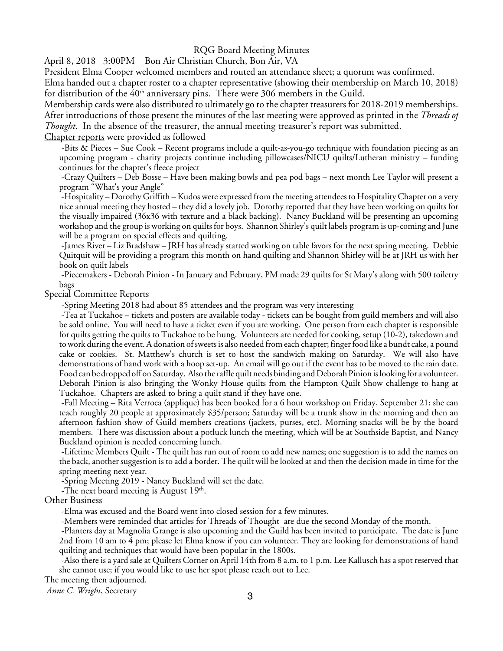### RQG Board Meeting Minutes

April 8, 2018 3:00PM Bon Air Christian Church, Bon Air, VA

President Elma Cooper welcomed members and routed an attendance sheet; a quorum was confirmed.

Elma handed out a chapter roster to a chapter representative (showing their membership on March 10, 2018) for distribution of the  $40<sup>th</sup>$  anniversary pins. There were 306 members in the Guild.

Membership cards were also distributed to ultimately go to the chapter treasurers for 2018-2019 memberships. After introductions of those present the minutes of the last meeting were approved as printed in the *Threads of Thought*. In the absence of the treasurer, the annual meeting treasurer's report was submitted.

Chapter reports were provided as followed

-Bits & Pieces – Sue Cook – Recent programs include a quilt-as-you-go technique with foundation piecing as an upcoming program - charity projects continue including pillowcases/NICU quilts/Lutheran ministry – funding continues for the chapter's fleece project

-Crazy Quilters – Deb Bosse – Have been making bowls and pea pod bags – next month Lee Taylor will present a program "What's your Angle"

-Hospitality – Dorothy Griffith – Kudos wereexpressed from the meeting attendees to HospitalityChapter on a very nice annual meeting they hosted – they did a lovely job. Dorothy reported that they have been working on quilts for the visually impaired (36x36 with texture and a black backing). Nancy Buckland will be presenting an upcoming workshop and the group is working on quilts for boys. Shannon Shirley's quilt labels program is up-coming and June will be a program on special effects and quilting.

-James River – Liz Bradshaw – JRH has already started working on table favors for the next spring meeting. Debbie Quitquit will be providing a program this month on hand quilting and Shannon Shirley will be at JRH us with her book on quilt labels

-Piecemakers - Deborah Pinion - In January and February, PM made 29 quilts for St Mary's along with 500 toiletry bags

Special Committee Reports

-Spring Meeting 2018 had about 85 attendees and the program was very interesting

-Tea at Tuckahoe – tickets and posters are available today - tickets can be bought from guild members and will also be sold online. You will need to have a ticket even if you are working. One person from each chapter is responsible for quilts getting the quilts to Tuckahoe to be hung. Volunteers are needed for cooking, setup (10-2), takedown and towork during theevent. A donation ofsweetsis also needed from each chapter; fingerfood like a bundt cake, a pound cake or cookies. St. Matthew's church is set to host the sandwich making on Saturday. We will also have demonstrations of hand work with a hoop set-up. An email will go out if the event has to be moved to the rain date. Food can be dropped off on Saturday. Also the raffle quilt needs binding and Deborah Pinion is looking for a volunteer. Deborah Pinion is also bringing the Wonky House quilts from the Hampton Quilt Show challenge to hang at Tuckahoe. Chapters are asked to bring a quilt stand if they have one.

-Fall Meeting – Rita Verroca (applique) has been booked for a 6 hour workshop on Friday, September 21; she can teach roughly 20 people at approximately \$35/person; Saturday will be a trunk show in the morning and then an afternoon fashion show of Guild members creations (jackets, purses, etc). Morning snacks will be by the board members. There was discussion about a potluck lunch the meeting, which will be at Southside Baptist, and Nancy Buckland opinion is needed concerning lunch.

-Lifetime Members Quilt - The quilt has run out of room to add new names; one suggestion is to add the names on the back, another suggestion is to add a border. The quilt will belooked at and then the decision madein timefor the spring meeting next year.

-Spring Meeting 2019 - Nancy Buckland will set the date.

-The next board meeting is August  $19<sup>th</sup>$ .<br>Other Business

-Elma was excused and the Board went into closed session for a few minutes.

-Members were reminded that articles for Threads of Thought are due the second Monday of the month.

-Planters day at Magnolia Grange is also upcoming and the Guild has been invited to participate. The date is June 2nd from 10 am to 4 pm; please let Elma know if you can volunteer. They are looking for demonstrations of hand quilting and techniques that would have been popular in the 1800s.

-Also there is a yard sale at Quilters Corner on April 14th from 8 a.m. to 1 p.m. Lee Kallusch has a spot reserved that she cannot use; if you would like to use her spot please reach out to Lee.

The meeting then adjourned.

*Anne C. Wright*, Secretary <sup>3</sup>